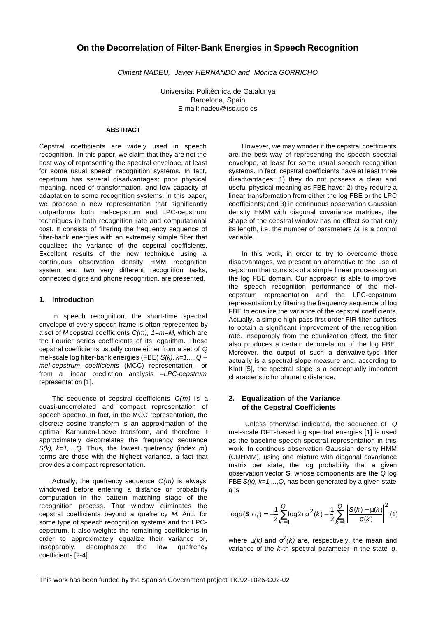# **On the Decorrelation of Filter-Bank Energies in Speech Recognition**

*Climent NADEU, Javier HERNANDO and Mònica GORRICHO*

Universitat Politècnica de Catalunya Barcelona, Spain E-mail: nadeu@tsc.upc.es

## **ABSTRACT**

Cepstral coefficients are widely used in speech recognition. In this paper, we claim that they are not the best way of representing the spectral envelope, at least for some usual speech recognition systems. In fact, cepstrum has several disadvantages: poor physical meaning, need of transformation, and low capacity of adaptation to some recognition systems. In this paper, we propose a new representation that significantly outperforms both mel-cepstrum and LPC-cepstrum techniques in both recognition rate and computational cost. It consists of filtering the frequency sequence of filter-bank energies with an extremely simple filter that equalizes the variance of the cepstral coefficients. Excellent results of the new technique using a continuous observation density HMM recognition system and two very different recognition tasks, connected digits and phone recognition, are presented.

### **1. Introduction**

In speech recognition, the short-time spectral envelope of every speech frame is often represented by a set of *M* cepstral coefficients *C(m), 1=m=M*, which are the Fourier series coefficients of its logarithm. These cepstral coefficients usually come either from a set of *Q* mel-scale log filter-bank energies (FBE) *S(k), k=1,...,Q* – *mel-cepstrum coefficients* (MCC) representation– or from a linear prediction analysis –*LPC-cepstrum* representation [1].

The sequence of cepstral coefficients *C(m)* is a quasi-uncorrelated and compact representation of speech spectra. In fact, in the MCC representation, the discrete cosine transform is an approximation of the optimal Karhunen-Loéve transform, and therefore it approximately decorrelates the frequency sequence *S(k), k=1,...,Q*. Thus, the lowest quefrency (index *m*) terms are those with the highest variance, a fact that provides a compact representation.

Actually, the quefrency sequence *C(m)* is always windowed before entering a distance or probability computation in the pattern matching stage of the recognition process. That window eliminates the cepstral coefficients beyond a quefrency *M*. And, for some type of speech recognition systems and for LPCcepstrum, it also weights the remaining coefficients in order to approximately equalize their variance or, inseparably, deemphasize the low quefrency coefficients [2-4].

However, we may wonder if the cepstral coefficients are the best way of representing the speech spectral envelope, at least for some usual speech recognition systems. In fact, cepstral coefficients have at least three disadvantages: 1) they do not possess a clear and useful physical meaning as FBE have; 2) they require a linear transformation from either the log FBE or the LPC coefficients; and 3) in continuous observation Gaussian density HMM with diagonal covariance matrices, the shape of the cepstral window has no effect so that only its length, i.e. the number of parameters *M*, is a control variable.

In this work, in order to try to overcome those disadvantages, we present an alternative to the use of cepstrum that consists of a simple linear processing on the log FBE domain. Our approach is able to improve the speech recognition performance of the melcepstrum representation and the LPC-cepstrum representation by filtering the frequency sequence of log FBE to equalize the variance of the cepstral coefficients. Actually, a simple high-pass first order FIR filter suffices to obtain a significant improvement of the recognition rate. Inseparably from the equalization effect, the filter also produces a certain decorrelation of the log FBE. Moreover, the output of such a derivative-type filter actually is a spectral slope measure and, according to Klatt [5], the spectral slope is a perceptually important characteristic for phonetic distance.

## **2. Equalization of the Variance of the Cepstral Coefficients**

 Unless otherwise indicated, the sequence of *Q* mel-scale DFT-based log spectral energies [1] is used as the baseline speech spectral representation in this work. In continous observation Gaussian density HMM (CDHMM), using one mixture with diagonal covariance matrix per state, the log probability that a given observation vector **S**, whose components are the *Q* log FBE *S(k), k=1,...,Q*, has been generated by a given state *q* is

$$
\log p(\mathbf{S} \mid q) = -\frac{1}{2} \sum_{k=1}^{Q} \log 2p\mathbf{s}^{2}(k) - \frac{1}{2} \sum_{k=1}^{Q} \left| \frac{S(k) - \mathbf{m}(k)}{\mathbf{s}(k)} \right|^{2} (1)
$$

where  $m(k)$  and  $s^2(k)$  are, respectively, the mean and variance of the *k-*th spectral parameter in the state *q*.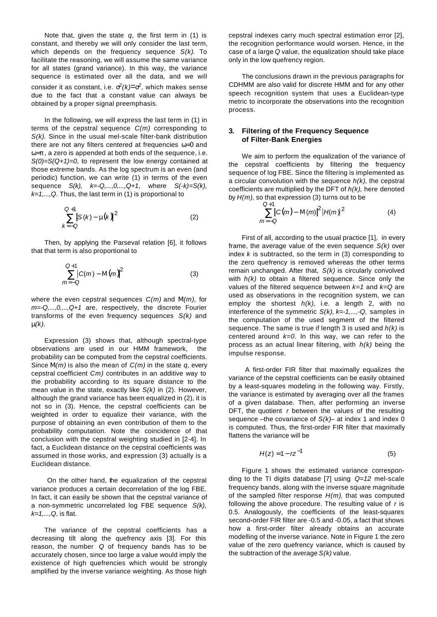Note that, given the state *q*, the first term in (1) is constant, and thereby we will only consider the last term, which depends on the frequency sequence *S(k)*. To facilitate the reasoning, we will assume the same variance for all states (grand variance). In this way, the variance sequence is estimated over all the data, and we will consider it as constant, i.e.  $s^2(k) = s^2$ , which makes sense due to the fact that a constant value can always be obtained by a proper signal preemphasis.

In the following, we will express the last term in (1) in terms of the cepstral sequence *C(m)* corresponding to *S(k)*. Since in the usual mel-scale filter-bank distribution there are not any filters centered at frequencies *w=0* and *w=p* , a zero is appended at both ends of the sequence, i.e. *S(0)=S(Q+1)=0*, to represent the low energy contained at those extreme bands. As the log spectrum is an even (and periodic) function, we can write (1) in terms of the even sequence *S(k), k=-Q,...,0,...,Q+1*, where *S(-k)=S(k), k=1,...,Q*. Thus, the last term in (1) is proportional to

$$
\sum_{k=-Q}^{Q+1} |S(k) - m(k)|^2
$$
 (2)

Then, by applying the Parseval relation [6], it follows that that term is also proportional to

$$
\sum_{m=-Q}^{Q+1} |C(m) - M(m)|^2
$$
 (3)

where the even cepstral sequences *C(m)* and *M(m)*, for *m=-Q,...,0,...,Q+1* are, respectively, the discrete Fourier transforms of the even frequency sequences *S(k)* and *m(k)*.

Expression (3) shows that, although spectral-type observations are used in our HMM framework, the probability can be computed from the cepstral coefficients. Since *M(m)* is also the mean of *C(m)* in the state *q*, every cepstral coefficient *Cm)* contributes in an additive way to the probability according to its square distance to the mean value in the state, exactly like *S(k)* in (2). However, although the grand variance has been equalized in (2), it is not so in (3). Hence, the cepstral coefficients can be weighted in order to equalize their variance, with the purpose of obtaining an even contribution of them to the probability computation. Note the coincidence of that conclusion with the cepstral weighting studied in [2-4]. In fact, a Euclidean distance on the cepstral coefficients was assumed in those works, and expression (3) actually is a Euclidean distance.

 On the other hand, the equalization of the cepstral variance produces a certain decorrelation of the log FBE. In fact, it can easily be shown that the cepstral variance of a non-symmetric uncorrelated log FBE sequence *S(k), k=1,...,Q*, is flat.

The variance of the cepstral coefficients has a decreasing tilt along the quefrency axis [3]. For this reason, the number *Q* of frequency bands has to be accurately chosen, since too large a value would imply the existence of high quefrencies which would be strongly amplified by the inverse variance weighting. As those high

cepstral indexes carry much spectral estimation error [2], the recognition performance would worsen. Hence, in the case of a large *Q* value, the equalization should take place only in the low quefrency region.

The conclusions drawn in the previous paragraphs for CDHMM are also valid for discrete HMM and for any other speech recognition system that uses a Euclidean-type metric to incorporate the observations into the recognition process.

## **3. Filtering of the Frequency Sequence of Filter-Bank Energies**

We aim to perform the equalization of the variance of the cepstral coefficients by filtering the frequency sequence of log FBE. Since the filtering is implemented as a circular convolution with the sequence *h(k)*, the cepstral coefficients are multiplied by the DFT of *h(k)*, here denoted by *H(m)*, so that expression (3) turns out to be

$$
\sum_{m=-Q}^{Q+1} |C(m) - M(m)|^2 |H(m)|^2 \tag{4}
$$

First of all, according to the usual practice [1], in every frame, the average value of the even sequence *S(k)* over index *k* is subtracted, so the term in (3) corresponding to the zero quefrency is removed whereas the other terms remain unchanged. After that, *S(k)* is circularly convolved with *h(k)* to obtain a filtered sequence. Since only the values of the filtered sequence between *k=1* and *k=Q* are used as observations in the recognition system, we can employ the shortest *h(k)*, i.e. a length 2, with no interference of the symmetric *S(k)*, *k=-1,...,-Q*, samples in the computation of the used segment of the filtered sequence. The same is true if length 3 is used and *h(k)* is centered around  $k=0$ . In this way, we can refer to the process as an actual linear filtering, with *h(k)* being the impulse response.

 A first-order FIR filter that maximally equalizes the variance of the cepstral coefficients can be easily obtained by a least-squares modeling in the following way. Firstly, the variance is estimated by averaging over all the frames of a given database. Then, after performing an inverse DFT, the quotient *r* between the values of the resulting sequence –the covariance of *S(k)*– at index 1 and index 0 is computed. Thus, the first-order FIR filter that maximally flattens the variance will be

$$
H(z) = 1 - rz^{-1}
$$
 (5)

Figure 1 shows the estimated variance corresponding to the TI digits database [7] using *Q=12* mel-scale frequency bands, along with the inverse square magnitude of the sampled filter response *H(m)*, that was computed following the above procedure. The resulting value of *r* is 0.5. Analogously, the coefficients of the least-squares second-order FIR filter are -0.5 and -0.05, a fact that shows how a first-order filter already obtains an accurate modelling of the inverse variance. Note in Figure 1 the zero value of the zero quefrency variance, which is caused by the subtraction of the average *S(k)* value.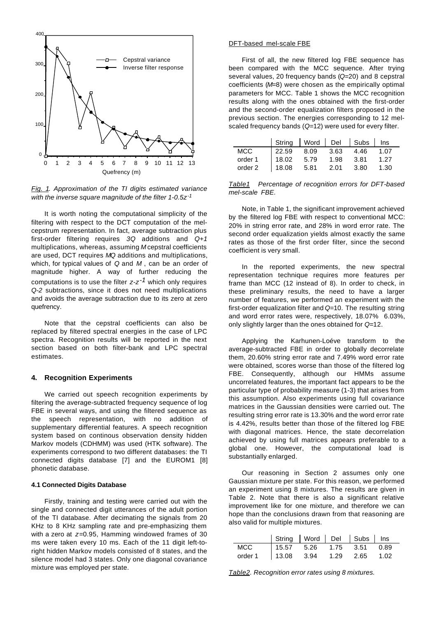

*Fig. 1. Approximation of the TI digits estimated variance with the inverse square magnitude of the filter 1-0.5z-1*

It is worth noting the computational simplicity of the filtering with respect to the DCT computation of the melcepstrum representation. In fact, average subtraction plus first-order filtering requires *3Q* additions and *Q+1* multiplications, whereas, assuming *M* cepstral coefficients are used, DCT requires *MQ* additions and multiplications, which, for typical values of *Q* and *M* , can be an order of magnitude higher. A way of further reducing the computations is to use the filter *z-z-1* which only requires *Q-2* subtractions, since it does not need multiplications and avoids the average subtraction due to its zero at zero quefrency.

Note that the cepstral coefficients can also be replaced by filtered spectral energies in the case of LPC spectra. Recognition results will be reported in the next section based on both filter-bank and LPC spectral estimates.

#### **4. Recognition Experiments**

We carried out speech recognition experiments by filtering the average-subtracted frequency sequence of log FBE in several ways, and using the filtered sequence as the speech representation, with no addition of supplementary differential features. A speech recognition system based on continous observation density hidden Markov models (CDHMM) was used (HTK software). The experiments correspond to two different databases: the TI connected digits database [7] and the EUROM1 [8] phonetic database.

#### **4.1 Connected Digits Database**

Firstly, training and testing were carried out with the single and connected digit utterances of the adult portion of the TI database. After decimating the signals from 20 KHz to 8 KHz sampling rate and pre-emphasizing them with a zero at *z=*0.95, Hamming windowed frames of 30 ms were taken every 10 ms. Each of the 11 digit left-toright hidden Markov models consisted of 8 states, and the silence model had 3 states. Only one diagonal covariance mixture was employed per state.

## DFT-based mel-scale FBE

First of all, the new filtered log FBE sequence has been compared with the MCC sequence. After trying several values, 20 frequency bands (*Q=*20) and 8 cepstral coefficients (*M=*8) were chosen as the empirically optimal parameters for MCC. Table 1 shows the MCC recognition results along with the ones obtained with the first-order and the second-order equalization filters proposed in the previous section. The energies corresponding to 12 melscaled frequency bands (*Q=*12) were used for every filter.

|            | String   Word   Del   Subs   Ins |           |      |        |      |
|------------|----------------------------------|-----------|------|--------|------|
| <b>MCC</b> | 122.59                           | 8.09 3.63 |      | 4.46   | 1.07 |
| order 1    | 18.02                            | 5.79      | 1.98 | - 3.81 | 1.27 |
| order 2    | 18.08                            | 5.81      | 2.01 | -3.80  | 1.30 |

*Table1 Percentage of recognition errors for DFT-based mel-scale FBE.*

Note, in Table 1, the significant improvement achieved by the filtered log FBE with respect to conventional MCC: 20% in string error rate, and 28% in word error rate. The second order equalization yields almost exactly the same rates as those of the first order filter, since the second coefficient is very small.

In the reported experiments, the new spectral representation technique requires more features per frame than MCC (12 instead of 8). In order to check, in these preliminary results, the need to have a larger number of features, we performed an experiment with the first-order equalization filter and *Q=*10. The resulting string and word error rates were, respectively, 18.07% 6.03%, only slightly larger than the ones obtained for *Q=*12.

Applying the Karhunen-Loéve transform to the average-subtracted FBE in order to globally decorrelate them, 20.60% string error rate and 7.49% word error rate were obtained, scores worse than those of the filtered log FBE. Consequently, although our HMMs assume uncorrelated features, the important fact appears to be the particular type of probability measure (1-3) that arises from this assumption. Also experiments using full covariance matrices in the Gaussian densities were carried out. The resulting string error rate is 13.30% and the word error rate is 4.42%, results better than those of the filtered log FBE with diagonal matrices. Hence, the state decorrelation achieved by using full matrices appears preferable to a global one. However, the computational load is substantially enlarged.

Our reasoning in Section 2 assumes only one Gaussian mixture per state. For this reason, we performed an experiment using 8 mixtures. The results are given in Table 2. Note that there is also a significant relative improvement like for one mixture, and therefore we can hope than the conclusions drawn from that reasoning are also valid for multiple mixtures.

|         | String   Word   Del   Subs   Ins |  |      |        |
|---------|----------------------------------|--|------|--------|
| MCC     | $15.57$ 5.26 1.75 3.51           |  |      | - 0.89 |
| order 1 | $13.08$ $3.94$ $1.29$            |  | 2.65 | 1.02   |

*Table2. Recognition error rates using 8 mixtures.*